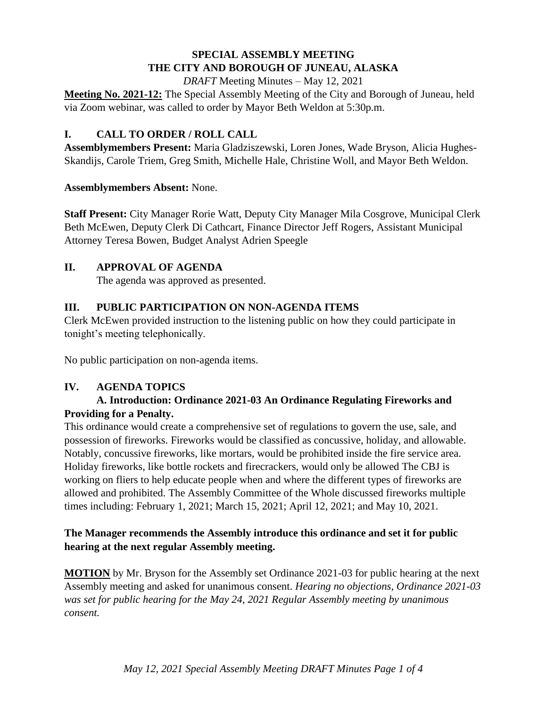### **SPECIAL ASSEMBLY MEETING THE CITY AND BOROUGH OF JUNEAU, ALASKA**

*DRAFT* Meeting Minutes – May 12, 2021

**Meeting No. 2021-12:** The Special Assembly Meeting of the City and Borough of Juneau, held via Zoom webinar, was called to order by Mayor Beth Weldon at 5:30p.m.

# **I. CALL TO ORDER / ROLL CALL**

**Assemblymembers Present:** Maria Gladziszewski, Loren Jones, Wade Bryson, Alicia Hughes-Skandijs, Carole Triem, Greg Smith, Michelle Hale, Christine Woll, and Mayor Beth Weldon.

### **Assemblymembers Absent:** None.

**Staff Present:** City Manager Rorie Watt, Deputy City Manager Mila Cosgrove, Municipal Clerk Beth McEwen, Deputy Clerk Di Cathcart, Finance Director Jeff Rogers, Assistant Municipal Attorney Teresa Bowen, Budget Analyst Adrien Speegle

### **II. APPROVAL OF AGENDA**

The agenda was approved as presented.

# **III. PUBLIC PARTICIPATION ON NON-AGENDA ITEMS**

Clerk McEwen provided instruction to the listening public on how they could participate in tonight's meeting telephonically.

No public participation on non-agenda items.

# **IV. AGENDA TOPICS**

### **A. Introduction: Ordinance 2021-03 An Ordinance Regulating Fireworks and Providing for a Penalty.**

This ordinance would create a comprehensive set of regulations to govern the use, sale, and possession of fireworks. Fireworks would be classified as concussive, holiday, and allowable. Notably, concussive fireworks, like mortars, would be prohibited inside the fire service area. Holiday fireworks, like bottle rockets and firecrackers, would only be allowed The CBJ is working on fliers to help educate people when and where the different types of fireworks are allowed and prohibited. The Assembly Committee of the Whole discussed fireworks multiple times including: February 1, 2021; March 15, 2021; April 12, 2021; and May 10, 2021.

### **The Manager recommends the Assembly introduce this ordinance and set it for public hearing at the next regular Assembly meeting.**

**MOTION** by Mr. Bryson for the Assembly set Ordinance 2021-03 for public hearing at the next Assembly meeting and asked for unanimous consent. *Hearing no objections, Ordinance 2021-03 was set for public hearing for the May 24, 2021 Regular Assembly meeting by unanimous consent.*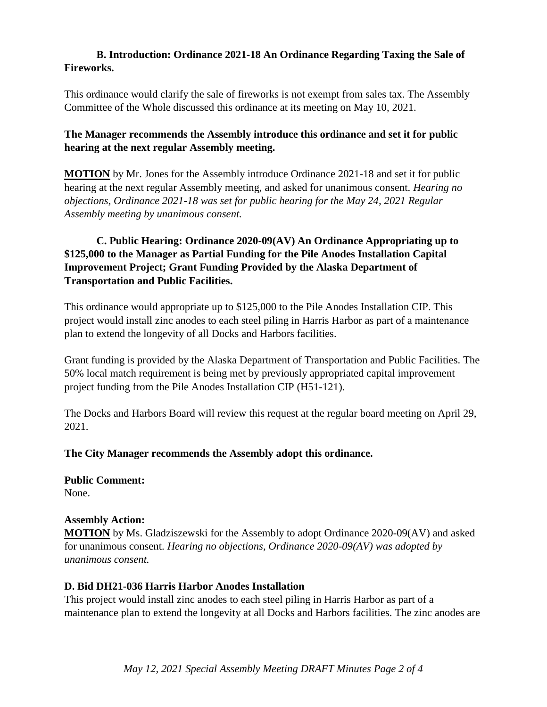#### **B. Introduction: Ordinance 2021-18 An Ordinance Regarding Taxing the Sale of Fireworks.**

This ordinance would clarify the sale of fireworks is not exempt from sales tax. The Assembly Committee of the Whole discussed this ordinance at its meeting on May 10, 2021.

### **The Manager recommends the Assembly introduce this ordinance and set it for public hearing at the next regular Assembly meeting.**

**MOTION** by Mr. Jones for the Assembly introduce Ordinance 2021-18 and set it for public hearing at the next regular Assembly meeting, and asked for unanimous consent. *Hearing no objections, Ordinance 2021-18 was set for public hearing for the May 24, 2021 Regular Assembly meeting by unanimous consent.*

# **C. Public Hearing: Ordinance 2020-09(AV) An Ordinance Appropriating up to \$125,000 to the Manager as Partial Funding for the Pile Anodes Installation Capital Improvement Project; Grant Funding Provided by the Alaska Department of Transportation and Public Facilities.**

This ordinance would appropriate up to \$125,000 to the Pile Anodes Installation CIP. This project would install zinc anodes to each steel piling in Harris Harbor as part of a maintenance plan to extend the longevity of all Docks and Harbors facilities.

Grant funding is provided by the Alaska Department of Transportation and Public Facilities. The 50% local match requirement is being met by previously appropriated capital improvement project funding from the Pile Anodes Installation CIP (H51-121).

The Docks and Harbors Board will review this request at the regular board meeting on April 29, 2021.

### **The City Manager recommends the Assembly adopt this ordinance.**

**Public Comment:** None.

### **Assembly Action:**

**MOTION** by Ms. Gladziszewski for the Assembly to adopt Ordinance 2020-09(AV) and asked for unanimous consent. *Hearing no objections, Ordinance 2020-09(AV) was adopted by unanimous consent.* 

### **D. Bid DH21-036 Harris Harbor Anodes Installation**

This project would install zinc anodes to each steel piling in Harris Harbor as part of a maintenance plan to extend the longevity at all Docks and Harbors facilities. The zinc anodes are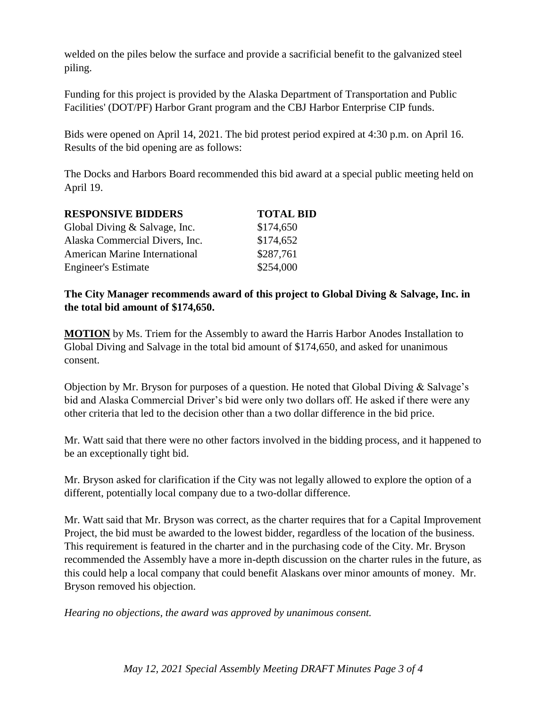welded on the piles below the surface and provide a sacrificial benefit to the galvanized steel piling.

Funding for this project is provided by the Alaska Department of Transportation and Public Facilities' (DOT/PF) Harbor Grant program and the CBJ Harbor Enterprise CIP funds.

Bids were opened on April 14, 2021. The bid protest period expired at 4:30 p.m. on April 16. Results of the bid opening are as follows:

The Docks and Harbors Board recommended this bid award at a special public meeting held on April 19.

| <b>RESPONSIVE BIDDERS</b>            | <b>TOTAL BID</b> |
|--------------------------------------|------------------|
| Global Diving & Salvage, Inc.        | \$174,650        |
| Alaska Commercial Divers, Inc.       | \$174,652        |
| <b>American Marine International</b> | \$287,761        |
| <b>Engineer's Estimate</b>           | \$254,000        |

#### **The City Manager recommends award of this project to Global Diving & Salvage, Inc. in the total bid amount of \$174,650.**

**MOTION** by Ms. Triem for the Assembly to award the Harris Harbor Anodes Installation to Global Diving and Salvage in the total bid amount of \$174,650, and asked for unanimous consent.

Objection by Mr. Bryson for purposes of a question. He noted that Global Diving & Salvage's bid and Alaska Commercial Driver's bid were only two dollars off. He asked if there were any other criteria that led to the decision other than a two dollar difference in the bid price.

Mr. Watt said that there were no other factors involved in the bidding process, and it happened to be an exceptionally tight bid.

Mr. Bryson asked for clarification if the City was not legally allowed to explore the option of a different, potentially local company due to a two-dollar difference.

Mr. Watt said that Mr. Bryson was correct, as the charter requires that for a Capital Improvement Project, the bid must be awarded to the lowest bidder, regardless of the location of the business. This requirement is featured in the charter and in the purchasing code of the City. Mr. Bryson recommended the Assembly have a more in-depth discussion on the charter rules in the future, as this could help a local company that could benefit Alaskans over minor amounts of money. Mr. Bryson removed his objection.

*Hearing no objections, the award was approved by unanimous consent.*